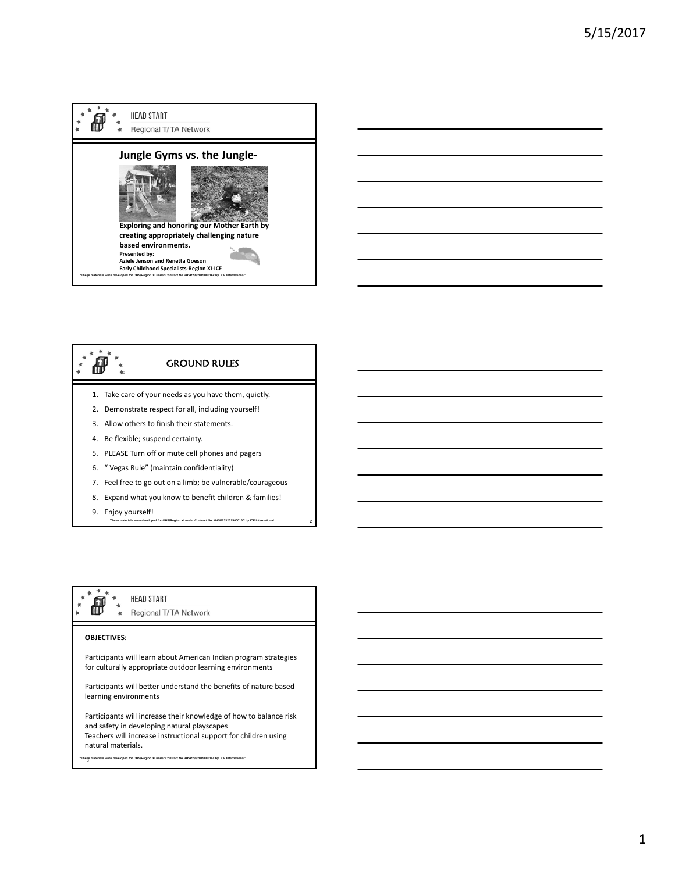





9. Enjoy yourself!

2 **These materials were developed for OHS/Region XI under Contract No. HHSP233201500016C by ICF International.** 

# Regional T/TA Network

HEAD START

### **OBJECTIVES:**

Participants will learn about American Indian program strategies for culturally appropriate outdoor learning environments

Participants will better understand the benefits of nature based learning environments

Participants will increase their knowledge of how to balance risk and safety in developing natural playscapes Teachers will increase instructional support for children using natural materials.

<sup>3</sup> **"These materials were developed for OHS/Region XI under Contract No HHSP233201500016c by ICF International"**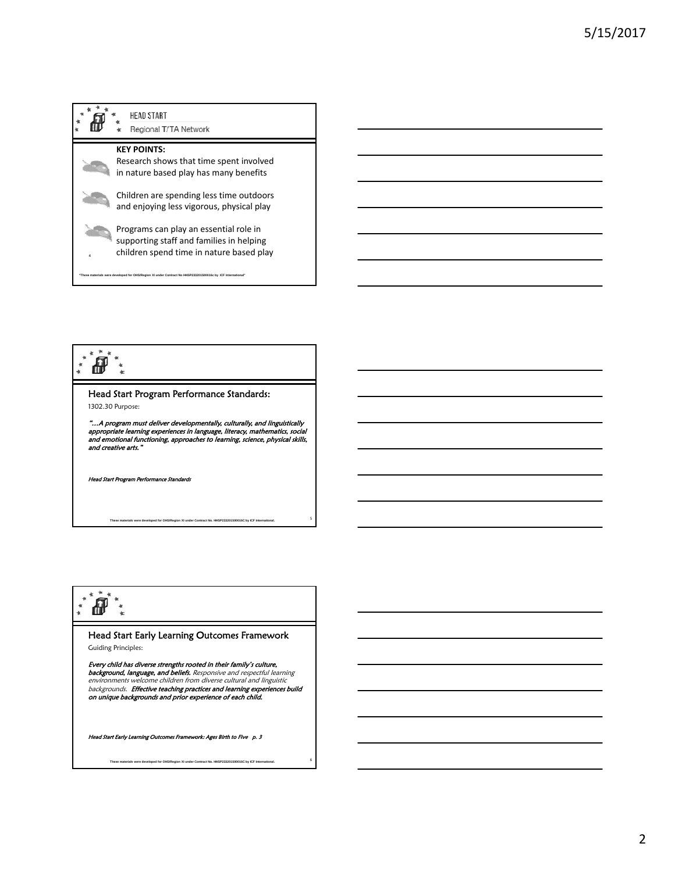



#### $\frac{1}{2}$ ้ต้  $\ddot{\phantom{a}}$  $\frac{*}{*}$  $\mathbf{k}$

## Head Start Program Performance Standards:

1302.30 Purpose:

"...A program must deliver developmentally, culturally, and linguistically<br>appropriate learning experiences in language, literacy, mathematics, social<br>and emotional functioning, approaches to learning, science, physical sk and creative arts."

5 **These materials were developed for OHS/Region XI under Contract No. HHSP233201500016C by ICF International.** 

d Start Program Performance Standa

## $*$ `@`

Head Start Early Learning Outcomes Framework Guiding Principles:

Every child has diverse strengths rooted in their family's culture,<br>background, language, and beliefs. Responsive and respectful learning<br>environments welcome children from diverse cultural and linguistic backgrounds. Effective teaching practices and learning experiences build on unique backgrounds and prior experience of each child.

6 **These materials were developed for OHS/Region XI under Contract No. HHSP233201500016C by ICF International.** 

Head Start Early Learning Outcomes Framework: Ages Birth to Five p. 3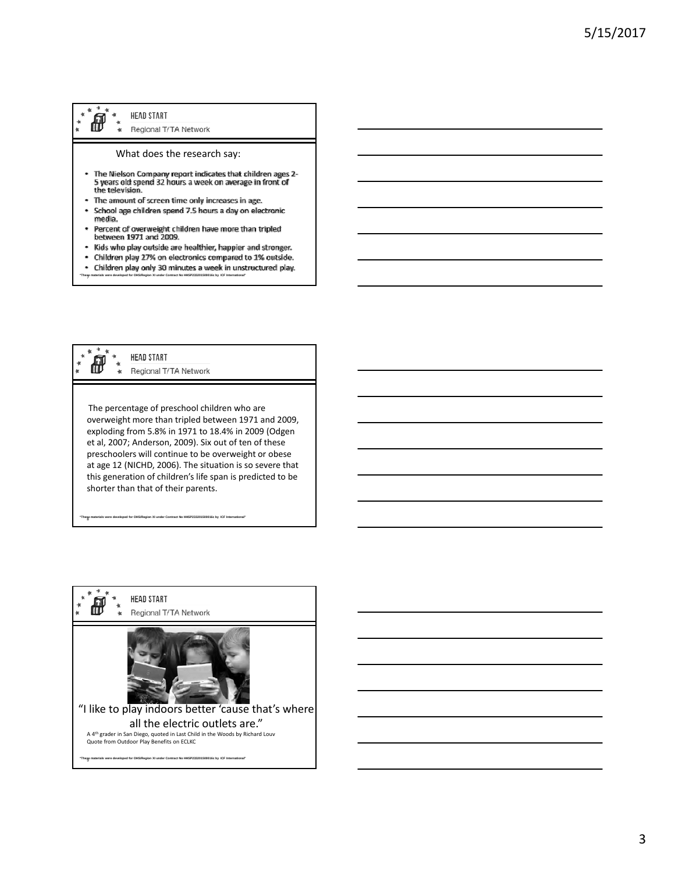#### HEAD START ð Regional T/TA Network

#### What does the research say:

- The Nielson Company report indicates that children ages 2-<br>5 years old spend 32 hours a week on average in front of<br>the television.
- The amount of screen time only increases in age.  $\hat{\phantom{a}}$
- School age children spend 7.5 hours a day on electronic  $\bullet$ media.
- Percent of overweight children have more than tripled<br>between 1971 and 2009.
- $\bullet$ Kids who play outside are healthier, happier and stronger.
- Children play 27% on electronics compared to 1% outside.  $\bullet$  $\bullet$
- Children play only 30 minutes a week in unstructured play. <sup>7</sup> **"These materials were developed for OHS/Region XI under Contract No HHSP233201500016c by ICF International"**

**HEAD START** Ò Regional T/TA Network

The percentage of preschool children who are overweight more than tripled between 1971 and 2009, exploding from 5.8% in 1971 to 18.4% in 2009 (Odgen et al, 2007; Anderson, 2009). Six out of ten of these preschoolers will continue to be overweight or obese at age 12 (NICHD, 2006). The situation is so severe that this generation of children's life span is predicted to be shorter than that of their parents.

<sup>8</sup> **"These materials were developed for OHS/Region XI under Contract No HHSP233201500016c by ICF International"** 

**HEAD START** æ Regional T/TA Network "I like to play indoors better 'cause that's where all the electric outlets are." A 4<sup>th</sup> grader in San Diego, quoted in Last Child in the Woods by Richard Louv<br>Quote from Outdoor Play Benefits on ECLKC <sup>9</sup> **"These materials were developed for OHS/Region XI under Contract No HHSP233201500016c by ICF International"**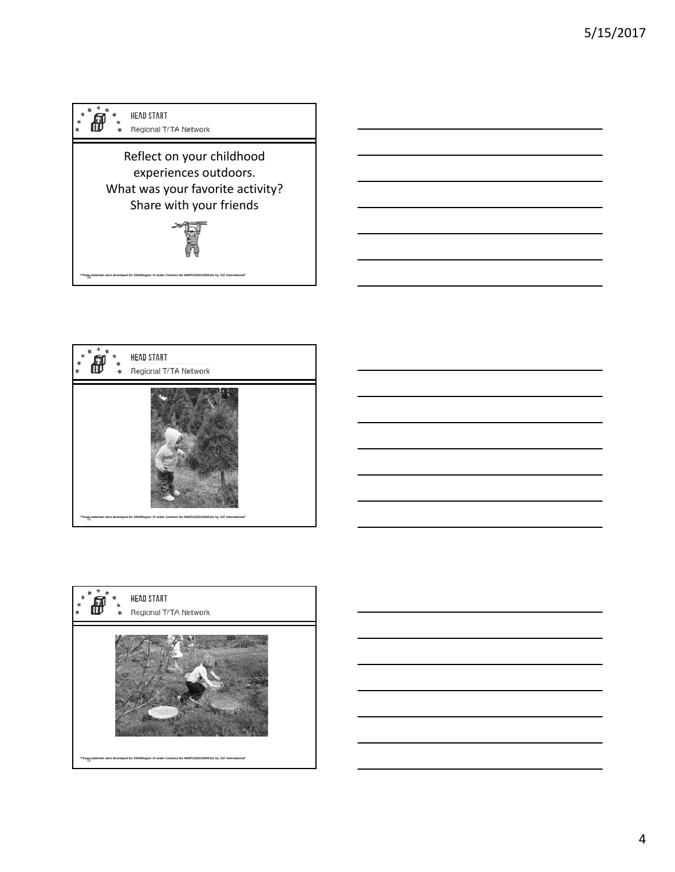









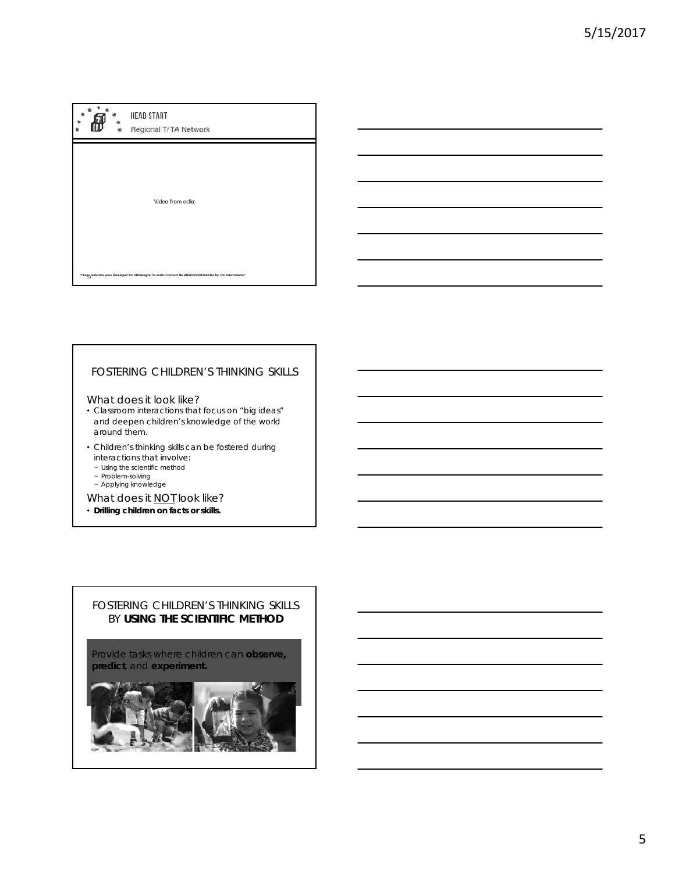

## FOSTERING CHILDREN'S THINKING SKILLS

#### What does it look like?

- Classroom interactions that focus on "big ideas" and deepen children's knowledge of the world around them.
- Children's thinking skills can be fostered during interactions that involve:
	- − Using the scientific method
	- − Problem-solving
	- − Applying knowledge
- What does it **NOT** look like?
- **Drilling children on facts or skills.**

## FOSTERING CHILDREN'S THINKING SKILLS BY **USING THE SCIENTIFIC METHOD**

Provide tasks where children can **observe, predict**, and **experiment.**

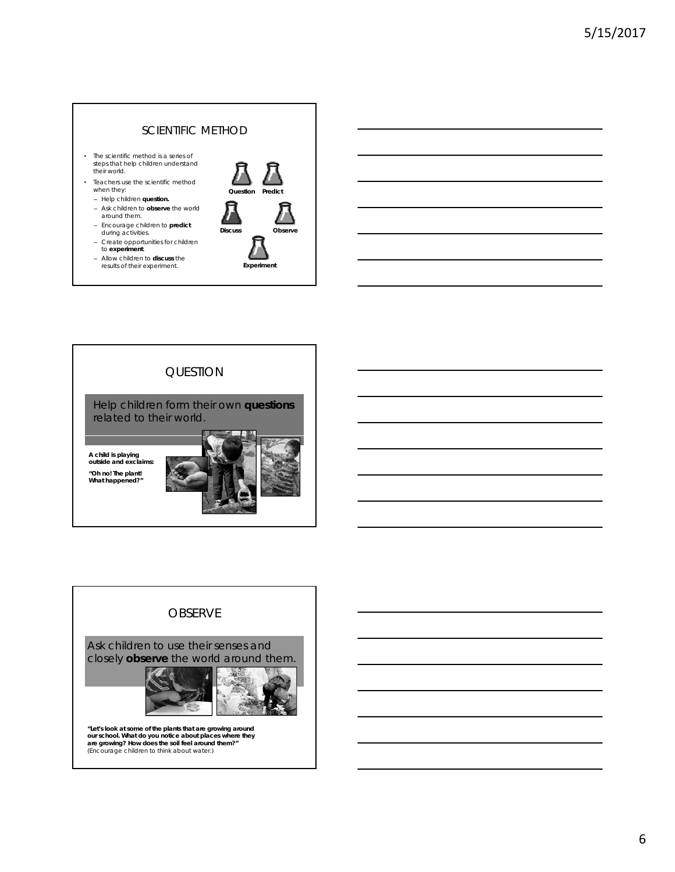## SCIENTIFIC METHOD

- The scientific method is a series of steps that help children understand their world.
- Teachers use the scientific method when they:
	- Help children **question.**
	- Ask children to **observe** the world around them.
	- Encourage children to **predict**  during activities.
	- Create opportunities for children to **experiment**.
	- Allow children to **discuss** the results of their experiment.





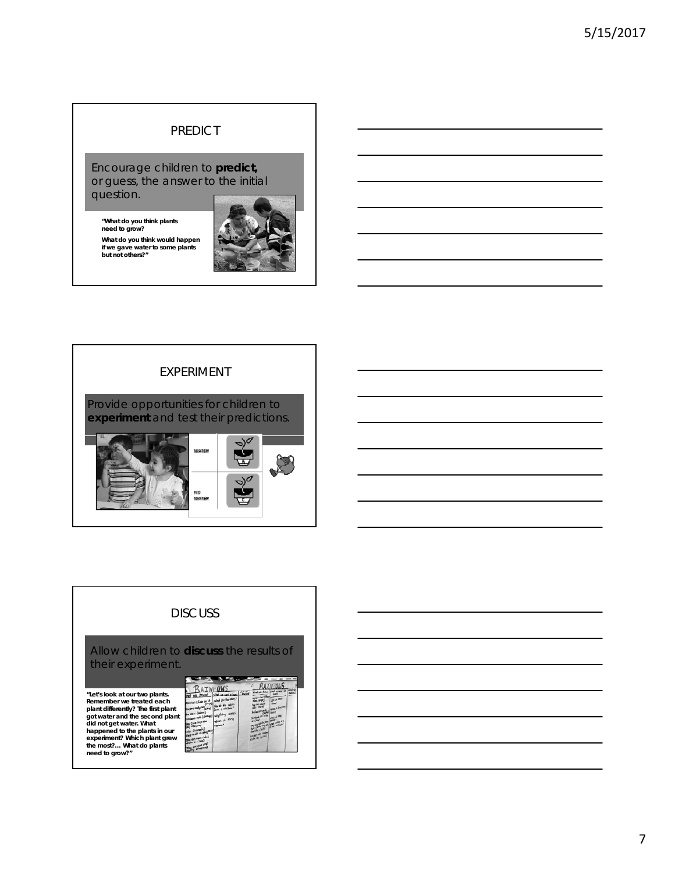# PREDICT

Encourage children to **predict,**  or guess, the answer to the initial question.

**"What do you think plants need to grow?** 

**What do you think would happen if we gave water to some plants but not others?"**





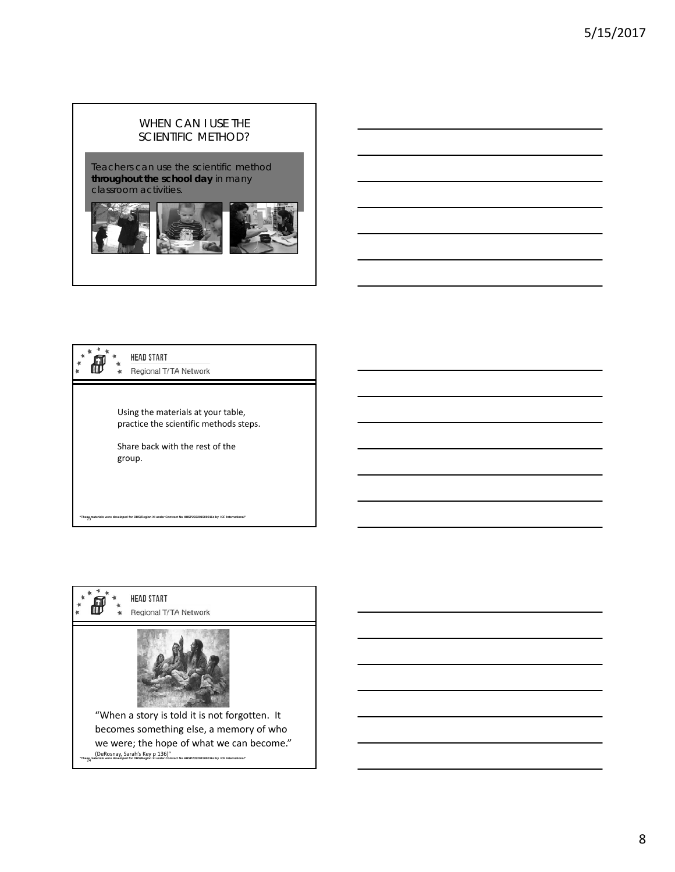# WHEN CAN I USE THE SCIENTIFIC METHOD?

Teachers can use the scientific method **throughout the school day** in many classroom activities.



|  | <b>HEAD START</b><br>Regional T/TA Network                                                                                |
|--|---------------------------------------------------------------------------------------------------------------------------|
|  | Using the materials at your table,<br>practice the scientific methods steps.<br>Share back with the rest of the<br>group. |
|  | "Thesp <sub>a</sub> materials were developed for OHS/Region XI under Contract No HHSP233201500016c by ICF International"  |

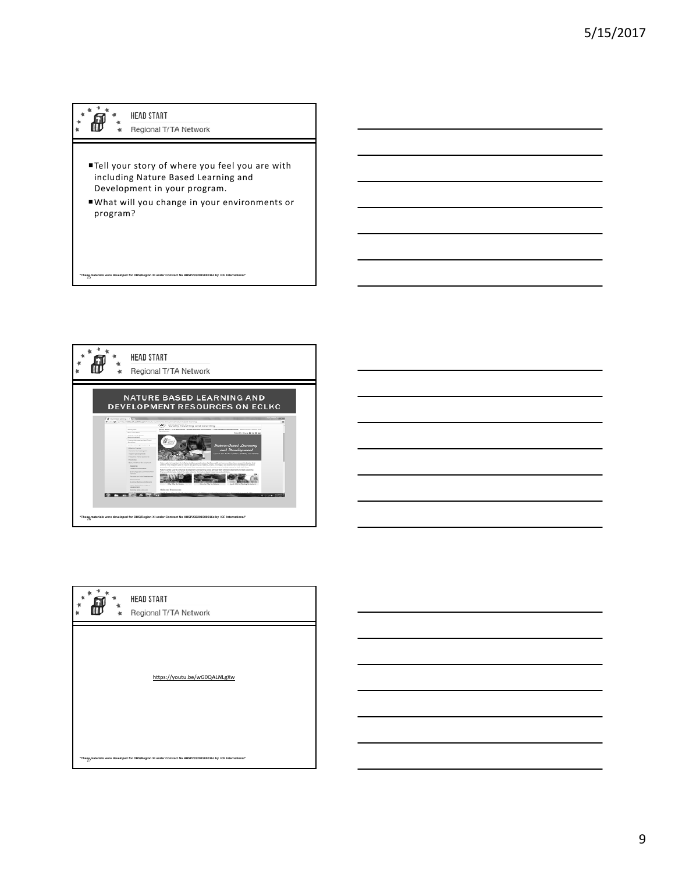#### ้ต้  $\ddot{\ddot{\tau}}$ HEAD START

 $\star$ 

 $\frac{1}{K}$ 

Regional T/TA Network  $\mathbf{d}$ 

<sup>25</sup> **"These materials were developed for OHS/Region XI under Contract No HHSP233201500016c by ICF International"** 

- Tell your story of where you feel you are with including Nature Based Learning and Development in your program.
- What will you change in your environments or program?



https://youtu be/wG0QALNLgXw https://youtu.be/wG0QALNLgXw

<sup>27</sup> **"These materials were developed for OHS/Region XI under Contract No HHSP233201500016c by ICF International"** 

HEAD START

Regional T/TA Network

\* \* \*  $\pmb{\ast}$ Ô ÷.

 $\star$ 

.<br>\*



9